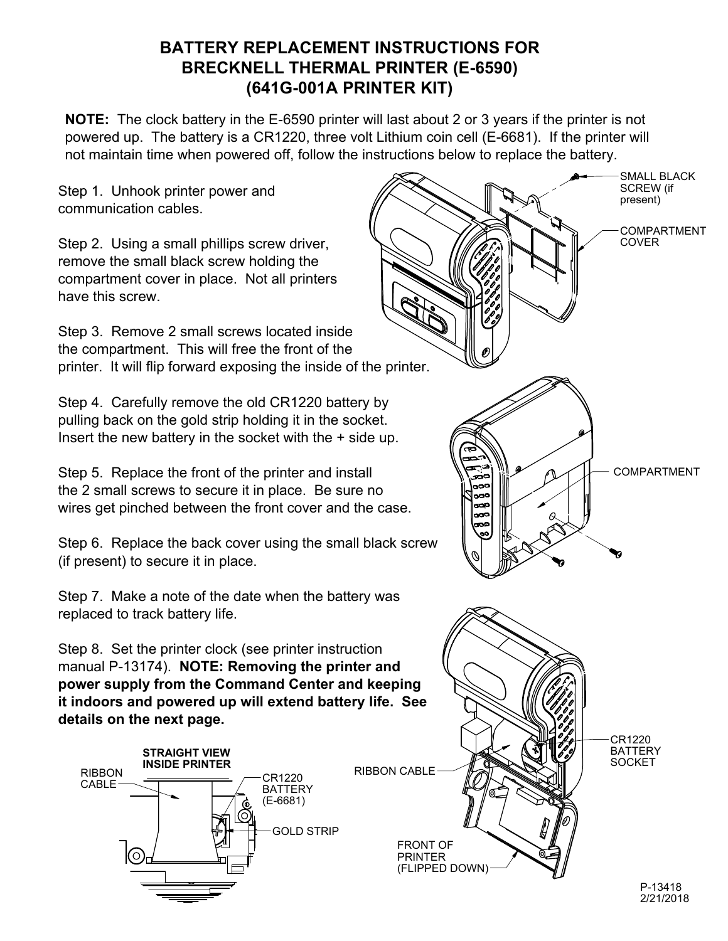## **BATTERY REPLACEMENT INSTRUCTIONS FOR BRECKNELL THERMAL PRINTER (E-6590) (641G-001A PRINTER KIT)**

**NOTE:** The clock battery in the E-6590 printer will last about 2 or 3 years if the printer is not powered up. The battery is a CR1220, three volt Lithium coin cell (E-6681). If the printer will not maintain time when powered off, follow the instructions below to replace the battery.

Step 1. Unhook printer power and communication cables.

Step 2. Using a small phillips screw driver, remove the small black screw holding the compartment cover in place. Not all printers have this screw.

Step 3. Remove 2 small screws located inside the compartment. This will free the front of the printer. It will flip forward exposing the inside of the printer.

Step 4. Carefully remove the old CR1220 battery by pulling back on the gold strip holding it in the socket. Insert the new battery in the socket with the + side up.

Step 5. Replace the front of the printer and install the 2 small screws to secure it in place. Be sure no wires get pinched between the front cover and the case.

Step 6. Replace the back cover using the small black screw (if present) to secure it in place.

Step 7. Make a note of the date when the battery was replaced to track battery life.

Step 8. Set the printer clock (see printer instruction manual P-13174). **NOTE: Removing the printer and power supply from the Command Center and keeping it indoors and powered up will extend battery life. See details on the next page.**